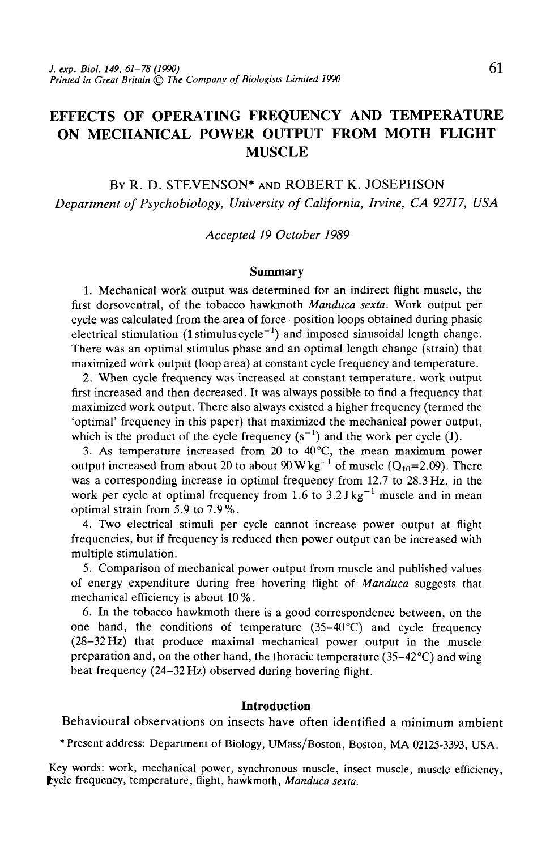# EFFECTS OF OPERATING FREQUENCY AND TEMPERATURE ON MECHANICAL POWER OUTPUT FROM MOTH FLIGHT MUSCLE

BY **R.** D. STEVENSON\* AND **ROBERT K.** JOSEPHSON *Department of Psychobiology, University of California, Irvine, CA 92717, USA*

*Accepted 19 October 1989*

#### **Summary**

1. Mechanical work output was determined for an indirect flight muscle, the first dorsoventral, of the tobacco hawkmoth *Manduca sexta.* Work output per cycle was calculated from the area of force-position loops obtained during phasic electrical stimulation (1 stimulus cycle $^{-1}$ ) and imposed sinusoidal length change. There was an optimal stimulus phase and an optimal length change (strain) that maximized work output (loop area) at constant cycle frequency and temperature.

2. When cycle frequency was increased at constant temperature, work output first increased and then decreased. It was always possible to find a frequency that maximized work output. There also always existed a higher frequency (termed the 'optimal' frequency in this paper) that maximized the mechanical power output, which is the product of the cycle frequency  $(s^{-1})$  and the work per cycle (J).

3. As temperature increased from 20 to  $40^{\circ}$ C, the mean maximum power output increased from about 20 to about 90 W kg<sup>-1</sup> of muscle (Q<sub>10</sub>=2.09). There was a corresponding increase in optimal frequency from 12.7 to 28.3 Hz, in the work per cycle at optimal frequency from 1.6 to  $3.2 \text{ J kg}^{-1}$  muscle and in mean optimal strain from 5.9 to 7.9 %.

4. Two electrical stimuli per cycle cannot increase power output at flight frequencies, but if frequency is reduced then power output can be increased with multiple stimulation.

5. Comparison of mechanical power output from muscle and published values of energy expenditure during free hovering flight of *Manduca* suggests that mechanical efficiency is about 10 %.

6. In the tobacco hawkmoth there is a good correspondence between, on the one hand, the conditions of temperature  $(35-40^{\circ}C)$  and cycle frequency (28-32 Hz) that produce maximal mechanical power output in the muscle preparation and, on the other hand, the thoracic temperature (35-42°C) and wing beat frequency (24-32 Hz) observed during hovering flight.

#### **Introduction**

Behavioural observations on insects have often identified a minimum ambient

•Present address: Department of Biology, UMass/Boston, Boston, MA 02125-3393, USA.

Key words: work, mechanical power, synchronous muscle, insect muscle, muscle efficiency, temperature, flight, hawkmoth, *Manduca sexta*.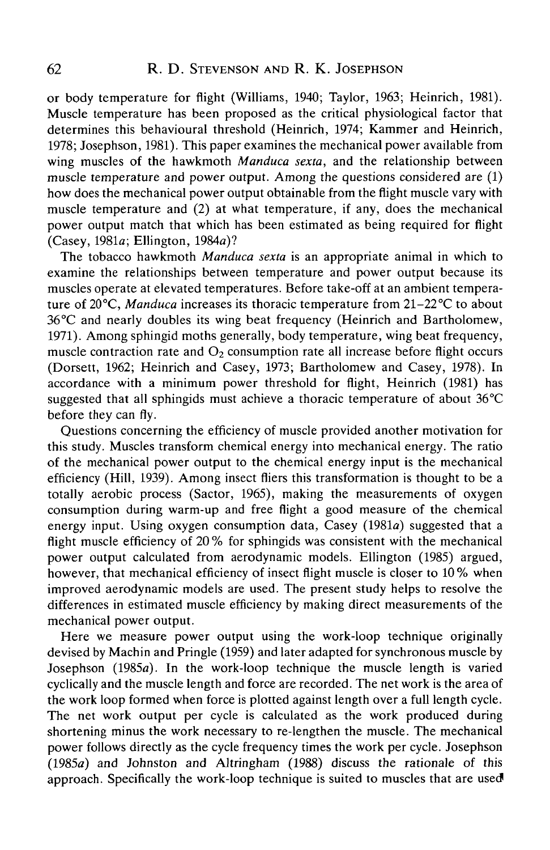or body temperature for flight (Williams, 1940; Taylor, 1963; Heinrich, 1981). Muscle temperature has been proposed as the critical physiological factor that determines this behavioural threshold (Heinrich, 1974; Kammer and Heinrich, 1978; Josephson, 1981). This paper examines the mechanical power available from wing muscles of the hawkmoth *Manduca sexta,* and the relationship between muscle temperature and power output. Among the questions considered are (1) how does the mechanical power output obtainable from the flight muscle vary with muscle temperature and (2) at what temperature, if any, does the mechanical power output match that which has been estimated as being required for flight (Casey, 1981a; Ellington, 1984a)?

The tobacco hawkmoth *Manduca sexta* is an appropriate animal in which to examine the relationships between temperature and power output because its muscles operate at elevated temperatures. Before take-off at an ambient temperature of 20°C, *Manduca* increases its thoracic temperature from 21-22°C to about 36°C and nearly doubles its wing beat frequency (Heinrich and Bartholomew, 1971). Among sphingid moths generally, body temperature, wing beat frequency, muscle contraction rate and  $O_2$  consumption rate all increase before flight occurs (Dorsett, 1962; Heinrich and Casey, 1973; Bartholomew and Casey, 1978). In accordance with a minimum power threshold for flight, Heinrich (1981) has suggested that all sphingids must achieve a thoracic temperature of about  $36^{\circ}$ C before they can fly.

Questions concerning the efficiency of muscle provided another motivation for this study. Muscles transform chemical energy into mechanical energy. The ratio of the mechanical power output to the chemical energy input is the mechanical efficiency (Hill, 1939). Among insect fliers this transformation is thought to be a totally aerobic process (Sactor, 1965), making the measurements of oxygen consumption during warm-up and free flight a good measure of the chemical energy input. Using oxygen consumption data, Casey (1981a) suggested that a flight muscle efficiency of 20 % for sphingids was consistent with the mechanical power output calculated from aerodynamic models. Ellington (1985) argued, however, that mechanical efficiency of insect flight muscle is closer to 10 % when improved aerodynamic models are used. The present study helps to resolve the differences in estimated muscle efficiency by making direct measurements of the mechanical power output.

Here we measure power output using the work-loop technique originally devised by Machin and Pringle (1959) and later adapted for synchronous muscle by Josephson (1985a). In the work-loop technique the muscle length is varied cyclically and the muscle length and force are recorded. The net work is the area of the work loop formed when force is plotted against length over a full length cycle. The net work output per cycle is calculated as the work produced during shortening minus the work necessary to re-lengthen the muscle. The mechanical power follows directly as the cycle frequency times the work per cycle. Josephson (1985a) and Johnston and Altringham (1988) discuss the rationale of this approach. Specifically the work-loop technique is suited to muscles that are used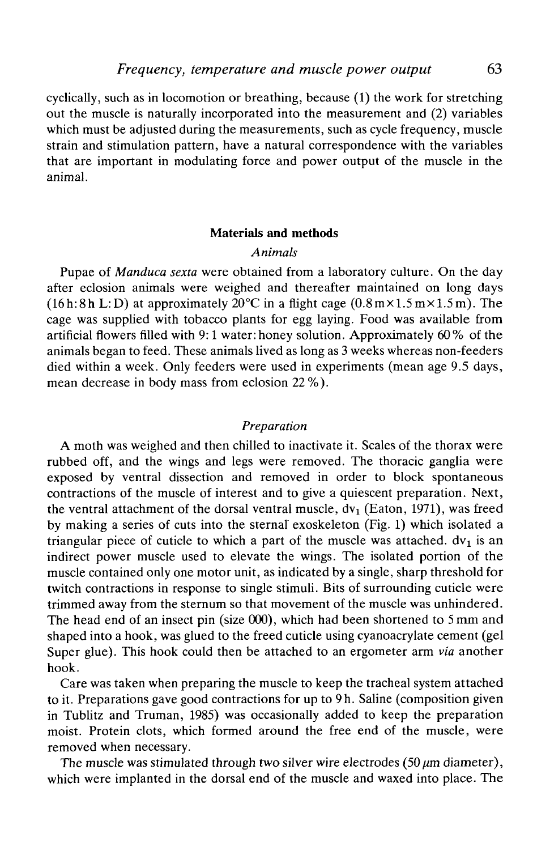cyclically, such as in locomotion or breathing, because (1) the work for stretching out the muscle is naturally incorporated into the measurement and (2) variables which must be adjusted during the measurements, such as cycle frequency, muscle strain and stimulation pattern, have a natural correspondence with the variables that are important in modulating force and power output of the muscle in the animal.

#### **Materials and methods**

# *Animals*

Pupae of *Manduca sexta* were obtained from a laboratory culture. On the day after eclosion animals were weighed and thereafter maintained on long days (16h:8h L:D) at approximately  $20^{\circ}$ C in a flight cage (0.8m $\times$ 1.5m $\times$ 1.5m). The cage was supplied with tobacco plants for egg laying. Food was available from artificial flowers filled with 9:1 water: honey solution. Approximately 60 % of the animals began to feed. These animals lived as long as 3 weeks whereas non-feeders died within a week. Only feeders were used in experiments (mean age 9.5 days, mean decrease in body mass from eclosion 22 %).

### *Preparation*

A moth was weighed and then chilled to inactivate it. Scales of the thorax were rubbed off, and the wings and legs were removed. The thoracic ganglia were exposed by ventral dissection and removed in order to block spontaneous contractions of the muscle of interest and to give a quiescent preparation. Next, the ventral attachment of the dorsal ventral muscle,  $dv_1$  (Eaton, 1971), was freed by making a series of cuts into the sternal exoskeleton (Fig. 1) which isolated a triangular piece of cuticle to which a part of the muscle was attached.  $dv_1$  is an indirect power muscle used to elevate the wings. The isolated portion of the muscle contained only one motor unit, as indicated by a single, sharp threshold for twitch contractions in response to single stimuli. Bits of surrounding cuticle were trimmed away from the sternum so that movement of the muscle was unhindered. The head end of an insect pin (size 000), which had been shortened to 5 mm and shaped into a hook, was glued to the freed cuticle using cyanoacrylate cement (gel Super glue). This hook could then be attached to an ergometer arm *via* another hook.

Care was taken when preparing the muscle to keep the tracheal system attached to it. Preparations gave good contractions for up to 9h. Saline (composition given in Tublitz and Truman, 1985) was occasionally added to keep the preparation moist. Protein clots, which formed around the free end of the muscle, were removed when necessary.

The muscle was stimulated through two silver wire electrodes  $(50 \mu m)$  diameter), which were implanted in the dorsal end of the muscle and waxed into place. The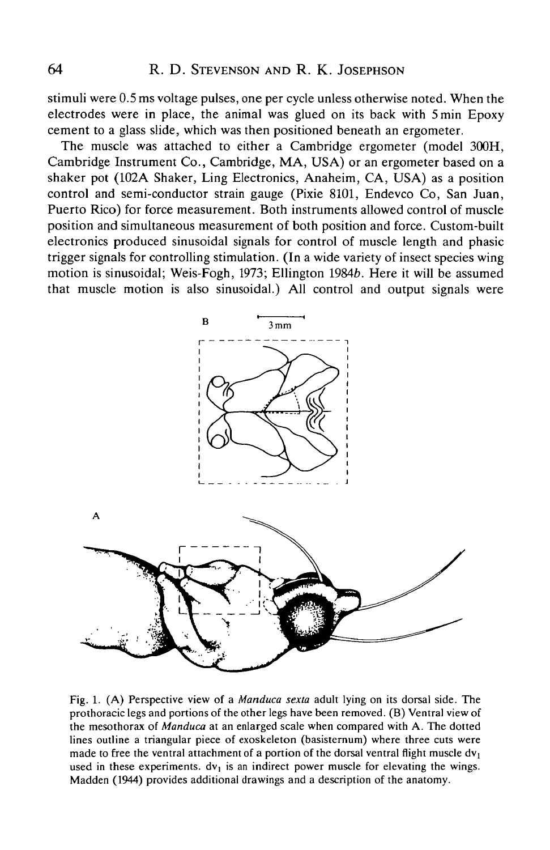stimuli were 0.5 ms voltage pulses, one per cycle unless otherwise noted. When the electrodes were in place, the animal was glued on its back with 5min Epoxy cement to a glass slide, which was then positioned beneath an ergometer.

The muscle was attached to either a Cambridge ergometer (model 300H, Cambridge Instrument Co., Cambridge, MA, USA) or an ergometer based on a shaker pot (102A Shaker, Ling Electronics, Anaheim, CA, USA) as a position control and semi-conductor strain gauge (Pixie 8101, Endevco Co, San Juan, Puerto Rico) for force measurement. Both instruments allowed control of muscle position and simultaneous measurement of both position and force. Custom-built electronics produced sinusoidal signals for control of muscle length and phasic trigger signals for controlling stimulation. (In a wide variety of insect species wing motion is sinusoidal; Weis-Fogh, 1973; Ellington 19846. Here it will be assumed that muscle motion is also sinusoidal.) All control and output signals were



Fig. 1. (A) Perspective view of a *Manduca sexta* adult lying on its dorsal side. The prothoracic legs and portions of the other legs have been removed. (B) Ventral view of the mesothorax of *Manduca* at an enlarged scale when compared with A. The dotted lines outline a triangular piece of exoskeleton (basisternum) where three cuts were made to free the ventral attachment of a portion of the dorsal ventral flight muscle  $dv_1$ used in these experiments,  $dv_1$  is an indirect power muscle for elevating the wings. Madden (1944) provides additional drawings and a description of the anatomy.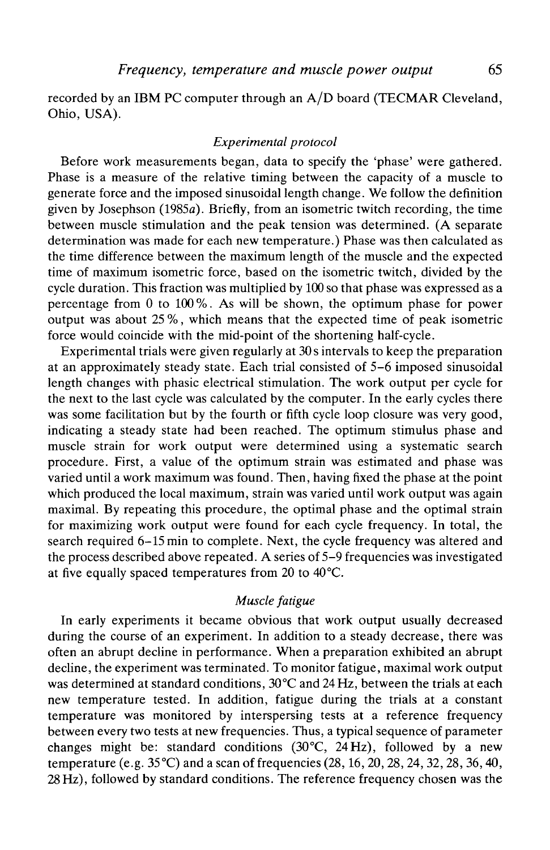recorded by an IBM PC computer through an A/D board (TECMAR Cleveland, Ohio, USA).

### *Experimental protocol*

Before work measurements began, data to specify the 'phase' were gathered. Phase is a measure of the relative timing between the capacity of a muscle to generate force and the imposed sinusoidal length change. We follow the definition given by Josephson (1985a). Briefly, from an isometric twitch recording, the time between muscle stimulation and the peak tension was determined. (A separate determination was made for each new temperature.) Phase was then calculated as the time difference between the maximum length of the muscle and the expected time of maximum isometric force, based on the isometric twitch, divided by the cycle duration. This fraction was multiplied by 100 so that phase was expressed as a percentage from 0 to 100%. As will be shown, the optimum phase for power output was about 25 %, which means that the expected time of peak isometric force would coincide with the mid-point of the shortening half-cycle.

Experimental trials were given regularly at 30 s intervals to keep the preparation at an approximately steady state. Each trial consisted of 5-6 imposed sinusoidal length changes with phasic electrical stimulation. The work output per cycle for the next to the last cycle was calculated by the computer. In the early cycles there was some facilitation but by the fourth or fifth cycle loop closure was very good, indicating a steady state had been reached. The optimum stimulus phase and muscle strain for work output were determined using a systematic search procedure. First, a value of the optimum strain was estimated and phase was varied until a work maximum was found. Then, having fixed the phase at the point which produced the local maximum, strain was varied until work output was again maximal. By repeating this procedure, the optimal phase and the optimal strain for maximizing work output were found for each cycle frequency. In total, the search required 6-15 min to complete. Next, the cycle frequency was altered and the process described above repeated. A series of 5-9 frequencies was investigated at five equally spaced temperatures from 20 to 40°C.

# *Muscle fatigue*

In early experiments it became obvious that work output usually decreased during the course of an experiment. In addition to a steady decrease, there was often an abrupt decline in performance. When a preparation exhibited an abrupt decline, the experiment was terminated. To monitor fatigue, maximal work output was determined at standard conditions, 30°C and 24 Hz, between the trials at each new temperature tested. In addition, fatigue during the trials at a constant temperature was monitored by interspersing tests at a reference frequency between every two tests at new frequencies. Thus, a typical sequence of parameter changes might be: standard conditions (30°C, *24Hz),* followed by a new temperature (e.g.  $35^{\circ}$ C) and a scan of frequencies (28, 16, 20, 28, 24, 32, 28, 36, 40, 28Hz), followed by standard conditions. The reference frequency chosen was the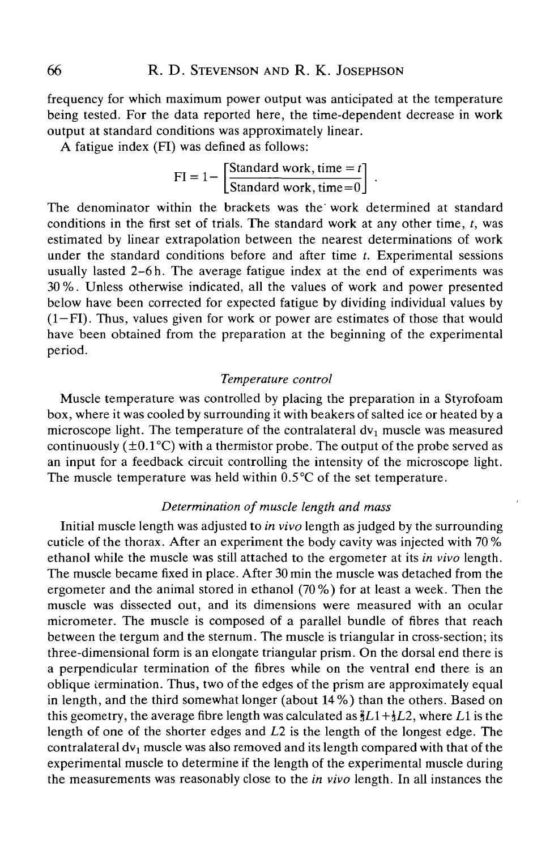frequency for which maximum power output was anticipated at the temperature being tested. For the data reported here, the time-dependent decrease in work output at standard conditions was approximately linear.

A fatigue index (FT) was defined as follows:

$$
FI = 1 - \left[\frac{\text{Standard work, time} = t}{\text{Standard work, time} = 0}\right]
$$

The denominator within the brackets was the work determined at standard conditions in the first set of trials. The standard work at any other time, *t,* was estimated by linear extrapolation between the nearest determinations of work under the standard conditions before and after time *t.* Experimental sessions usually lasted  $2-6$  h. The average fatigue index at the end of experiments was 30 %. Unless otherwise indicated, all the values of work and power presented below have been corrected for expected fatigue by dividing individual values by (1—FT). Thus, values given for work or power are estimates of those that would have been obtained from the preparation at the beginning of the experimental period.

### *Temperature control*

Muscle temperature was controlled by placing the preparation in a Styrofoam box, where it was cooled by surrounding it with beakers of salted ice or heated by a microscope light. The temperature of the contralateral dv<sub>1</sub> muscle was measured continuously ( $\pm 0.1^{\circ}$ C) with a thermistor probe. The output of the probe served as an input for a feedback circuit controlling the intensity of the microscope light. The muscle temperature was held within  $0.5^{\circ}$ C of the set temperature.

# *Determination of muscle length and mass*

Initial muscle length was adjusted to *in vivo* length as judged by the surrounding cuticle of the thorax. After an experiment the body cavity was injected with 70 % ethanol while the muscle was still attached to the ergometer at its *in vivo* length. The muscle became fixed in place. After 30 min the muscle was detached from the ergometer and the animal stored in ethanol (70%) for at least a week. Then the muscle was dissected out, and its dimensions were measured with an ocular micrometer. The muscle is composed of a parallel bundle of fibres that reach between the tergum and the sternum. The muscle is triangular in cross-section; its three-dimensional form is an elongate triangular prism. On the dorsal end there is a perpendicular termination of the fibres while on the ventral end there is an oblique termination. Thus, two of the edges of the prism are approximately equal in length, and the third somewhat longer (about 14%) than the others. Based on this geometry, the average fibre length was calculated as  $\frac{2}{3}L1+\frac{1}{3}L2$ , where L1 is the length of one of the shorter edges and *L2* is the length of the longest edge. The contralateral  $dv_1$  muscle was also removed and its length compared with that of the experimental muscle to determine if the length of the experimental muscle during the measurements was reasonably close to the *in vivo* length. In all instances the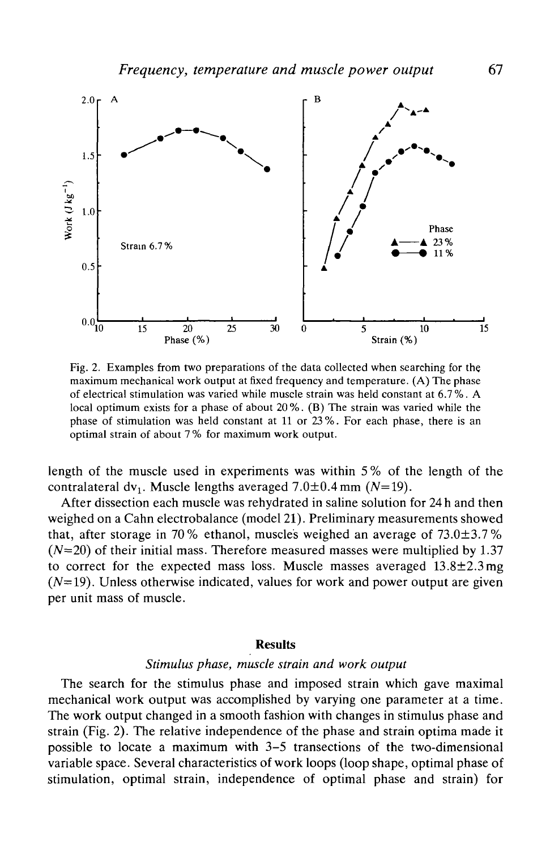

Fig. 2. Examples from two preparations of the data collected when searching for the maximum mechanical work output at fixed frequency and temperature. (A) The phase of electrical stimulation was varied while muscle strain was held constant at 6.7 %. A local optimum exists for a phase of about 20%. (B) The strain was varied while the phase of stimulation was held constant at 11 or 23 %. For each phase, there is an optimal strain of about 7 % for maximum work output.

length of the muscle used in experiments was within 5 % of the length of the contralateral dv<sub>1</sub>. Muscle lengths averaged  $7.0\pm0.4$  mm (N=19).

After dissection each muscle was rehydrated in saline solution for 24 h and then weighed on a Cahn electrobalance (model 21). Preliminary measurements showed that, after storage in 70% ethanol, muscles weighed an average of  $73.0\pm3.7$ %  $(N=20)$  of their initial mass. Therefore measured masses were multiplied by 1.37 to correct for the expected mass loss. Muscle masses averaged  $13.8 \pm 2.3$  mg  $(N=19)$ . Unless otherwise indicated, values for work and power output are given per unit mass of muscle.

#### **Results**

### *Stimulus phase, muscle strain and work output*

The search for the stimulus phase and imposed strain which gave maximal mechanical work output was accomplished by varying one parameter at a time. The work output changed in a smooth fashion with changes in stimulus phase and strain (Fig. 2). The relative independence of the phase and strain optima made it possible to locate a maximum with 3-5 transections of the two-dimensional variable space. Several characteristics of work loops (loop shape, optimal phase of stimulation, optimal strain, independence of optimal phase and strain) for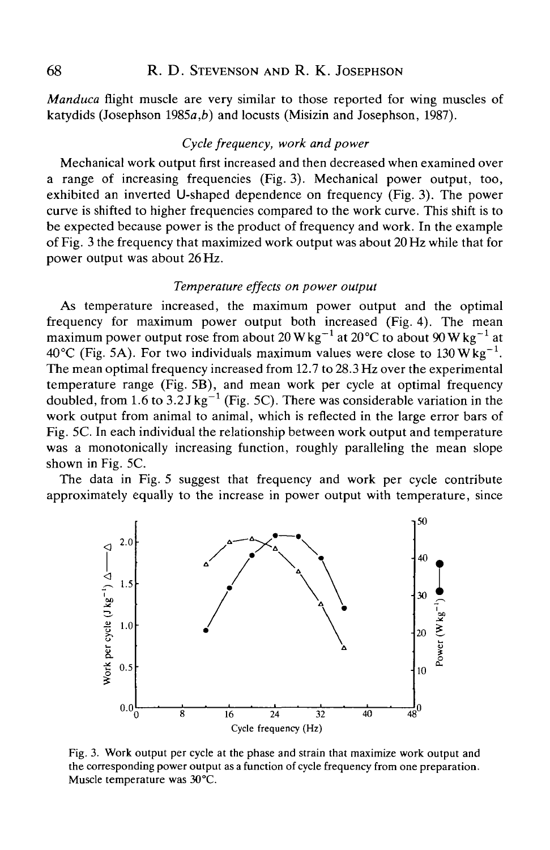*Manduca* flight muscle are very similar to those reported for wing muscles of katydids (Josephson 1985a,*b)* and locusts (Misizin and Josephson, 1987).

# *Cycle frequency, work and power*

Mechanical work output first increased and then decreased when examined over a range of increasing frequencies (Fig. 3). Mechanical power output, too, exhibited an inverted U-shaped dependence on frequency (Fig. 3). The power curve is shifted to higher frequencies compared to the work curve. This shift is to be expected because power is the product of frequency and work. In the example of Fig. 3 the frequency that maximized work output was about 20 Flz while that for power output was about 26 Hz.

### *Temperature effects on power output*

As temperature increased, the maximum power output and the optimal frequency for maximum power output both increased (Fig. 4). The mean maximum power output rose from about 20 W kg<sup>-1</sup> at 20 °C to about 90 W kg<sup>-1</sup> at 40 °C (Fig. 5A). For two individuals maximum values were close to 130  $Wkg^{-1}$ . The mean optimal frequency increased from 12.7 to 28.3 Hz over the experimental temperature range (Fig. 5B), and mean work per cycle at optimal frequency doubled, from 1.6 to 3.2 J kg<sup>-1</sup> (Fig. 5C). There was considerable variation in the work output from animal to animal, which is reflected in the large error bars of Fig. 5C. In each individual the relationship between work output and temperature was a monotonically increasing function, roughly paralleling the mean slope shown in Fig. 5C.

The data in Fig. 5 suggest that frequency and work per cycle contribute approximately equally to the increase in power output with temperature, since



Fig. 3. Work output per cycle at the phase and strain that maximize work output and the corresponding power output as a function of cycle frequency from one preparation. Muscle temperature was 30°C.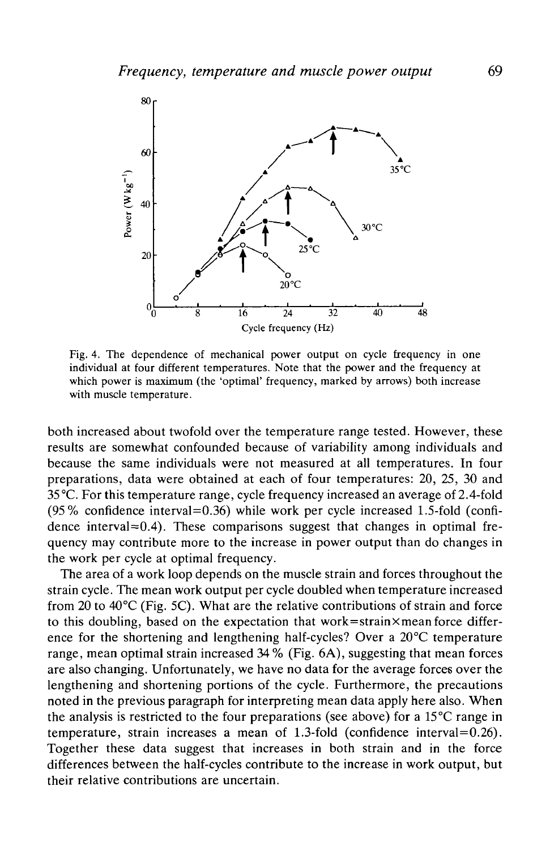

Fig. 4. The dependence of mechanical power output on cycle frequency in one individual at four different temperatures. Note that the power and the frequency at which power is maximum (the 'optimal' frequency, marked by arrows) both increase with muscle temperature.

both increased about twofold over the temperature range tested. However, these results are somewhat confounded because of variability among individuals and because the same individuals were not measured at all temperatures. In four preparations, data were obtained at each of four temperatures: 20, 25, 30 and 35 °C. For this temperature range, cycle frequency increased an average of 2.4-fold (95% confidence interval=0.36) while work per cycle increased 1.5-fold (confidence interval $=0.4$ ). These comparisons suggest that changes in optimal frequency may contribute more to the increase in power output than do changes in the work per cycle at optimal frequency.

The area of a work loop depends on the muscle strain and forces throughout the strain cycle. The mean work output per cycle doubled when temperature increased from 20 to 40°C (Fig. 5C). What are the relative contributions of strain and force to this doubling, based on the expectation that work=strain $\times$  mean force difference for the shortening and lengthening half-cycles? Over a 20°C temperature range, mean optimal strain increased  $34\%$  (Fig. 6A), suggesting that mean forces are also changing. Unfortunately, we have no data for the average forces over the lengthening and shortening portions of the cycle. Furthermore, the precautions noted in the previous paragraph for interpreting mean data apply here also. When the analysis is restricted to the four preparations (see above) for a 15 °C range in temperature, strain increases a mean of 1.3-fold (confidence interval=0.26). Together these data suggest that increases in both strain and in the force differences between the half-cycles contribute to the increase in work output, but their relative contributions are uncertain.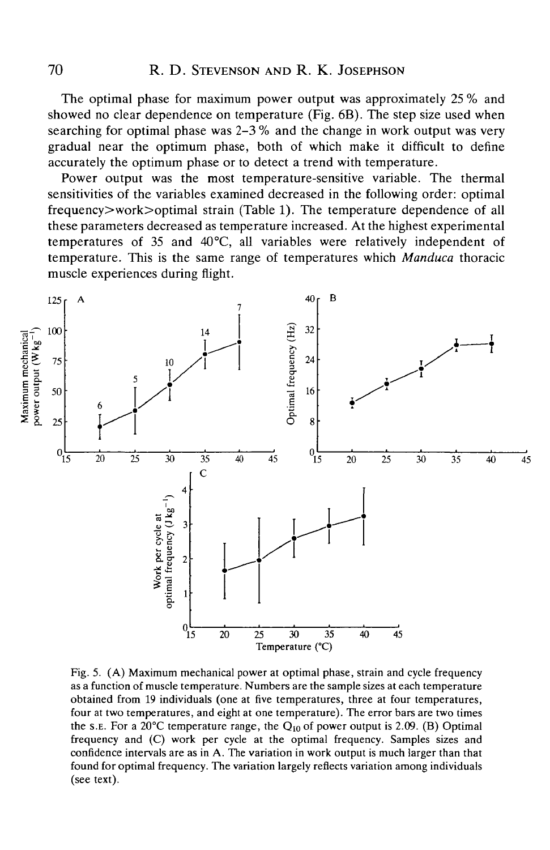The optimal phase for maximum power output was approximately 25 % and showed no clear dependence on temperature (Fig. 6B). The step size used when searching for optimal phase was  $2-3\%$  and the change in work output was very gradual near the optimum phase, both of which make it difficult to define accurately the optimum phase or to detect a trend with temperature.

Power output was the most temperature-sensitive variable. The thermal sensitivities of the variables examined decreased in the following order: optimal frequency>work>optimal strain (Table 1). The temperature dependence of all these parameters decreased as temperature increased. At the highest experimental temperatures of 35 and 40°C, all variables were relatively independent of temperature. This is the same range of temperatures which *Manduca* thoracic muscle experiences during flight.



Fig. 5. (A) Maximum mechanical power at optimal phase, strain and cycle frequency as a function of muscle temperature. Numbers are the sample sizes at each temperature obtained from 19 individuals (one at five temperatures, three at four temperatures, four at two temperatures, and eight at one temperature). The error bars are two times the s.E. For a 20°C temperature range, the  $Q_{10}$  of power output is 2.09. (B) Optimal frequency and (C) work per cycle at the optimal frequency. Samples sizes and confidence intervals are as in A. The variation in work output is much larger than that found for optimal frequency. The variation largely reflects variation among individuals (see text).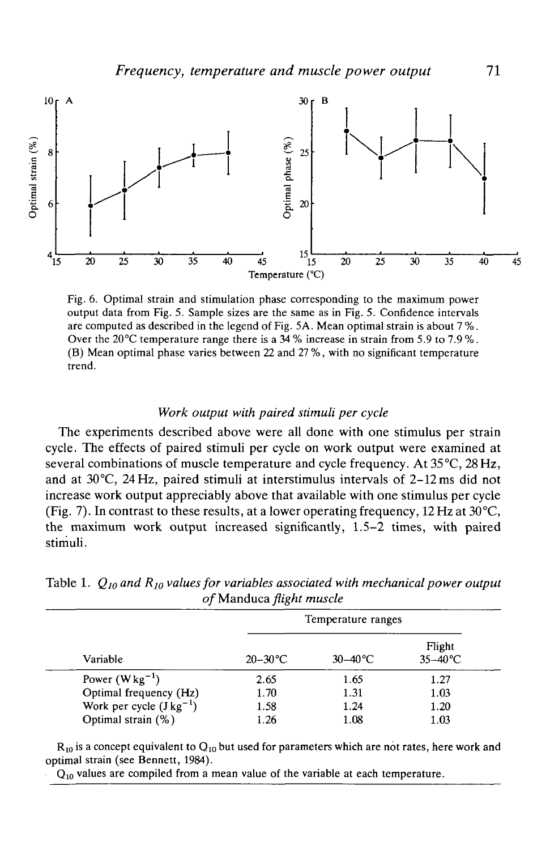

Fig. 6. Optimal strain and stimulation phase corresponding to the maximum power output data from Fig. 5. Sample sizes are the same as in Fig. 5. Confidence intervals are computed as described in the legend of Fig. 5A. Mean optimal strain is about 7 %. Over the 20°C temperature range there is a 34 % increase in strain from 5.9 to 7.9 %. (B) Mean optimal phase varies between 22 and 27 %, with no significant temperature trend.

#### *Work output with paired stimuli per cycle*

The experiments described above were all done with one stimulus per strain cycle. The effects of paired stimuli per cycle on work output were examined at several combinations of muscle temperature and cycle frequency. At 35°C, 28 Hz, and at 30°C, 24 Hz, paired stimuli at interstimulus intervals of 2-12 ms did not increase work output appreciably above that available with one stimulus per cycle (Fig. 7). In contrast to these results, at a lower operating frequency, 12 Hz at  $30^{\circ}$ C, the maximum work output increased significantly, 1.5-2 times, with paired stimuli.

| <i>v manduca jugni muscic</i> |                    |                   |                      |
|-------------------------------|--------------------|-------------------|----------------------|
| Variable                      | Temperature ranges |                   |                      |
|                               | $20 - 30$ °C       | $30-40^{\circ}$ C | Flight<br>$35-40$ °C |
| Power $(Wkg^{-1})$            | 2.65               | 1.65              | 1.27                 |
| Optimal frequency (Hz)        | 1.70               | 1.31              | 1.03                 |
| Work per cycle $(Jkg^{-1})$   | 1.58               | 1.24              | 1.20                 |
| Optimal strain (%)            | 1.26               | 1.08              | 1.03                 |

Table 1.  $Q_{10}$  and  $R_{10}$  values for variables associated with mechanical power output *of* Manduca *flight muscle*

 $R_{10}$  is a concept equivalent to  $Q_{10}$  but used for parameters which are not rates, here work and optimal strain (see Bennett, 1984).

 $Q_{10}$  values are compiled from a mean value of the variable at each temperature.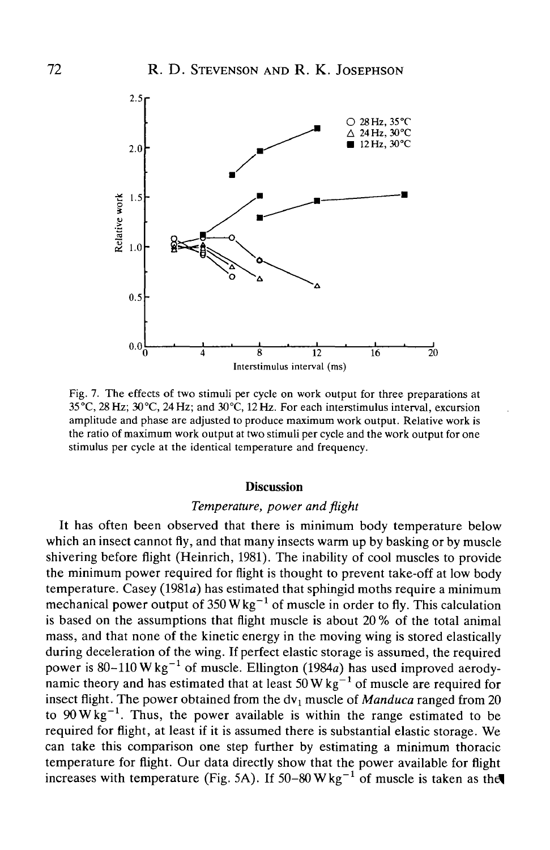

Fig. 7. The effects of two stimuli per cycle on work output for three preparations at 35°C, 28Hz; 30°C, 24Hz; and 30°C, 12Hz. For each interstimulus interval, excursion amplitude and phase are adjusted to produce maximum work output. Relative work is the ratio of maximum work output at two stimuli per cycle and the work output for one stimulus per cycle at the identical temperature and frequency.

#### **Discussion**

# *Temperature, power and flight*

It has often been observed that there is minimum body temperature below which an insect cannot fly, and that many insects warm up by basking or by muscle shivering before flight (Heinrich, 1981). The inability of cool muscles to provide the minimum power required for flight is thought to prevent take-off at low body temperature. Casey (1981a) has estimated that sphingid moths require a minimum mechanical power output of 350 W kg<sup>-1</sup> of muscle in order to fly. This calculation is based on the assumptions that flight muscle is about 20 % of the total animal mass, and that none of the kinetic energy in the moving wing is stored elastically during deceleration of the wing. If perfect elastic storage is assumed, the required power is  $80-110 \text{ W kg}^{-1}$  of muscle. Ellington (1984a) has used improved aerodynamic theory and has estimated that at least  $50 \text{ W kg}^{-1}$  of muscle are required for insect flight. The power obtained from the dv<sub>1</sub> muscle of *Manduca* ranged from 20 to  $90 \text{W kg}^{-1}$ . Thus, the power available is within the range estimated to be required for flight, at least if it is assumed there is substantial elastic storage. We can take this comparison one step further by estimating a minimum thoracic temperature for flight. Our data directly show that the power available for flight increases with temperature (Fig. 5A). If  $50-80$  W kg<sup>-1</sup> of muscle is taken as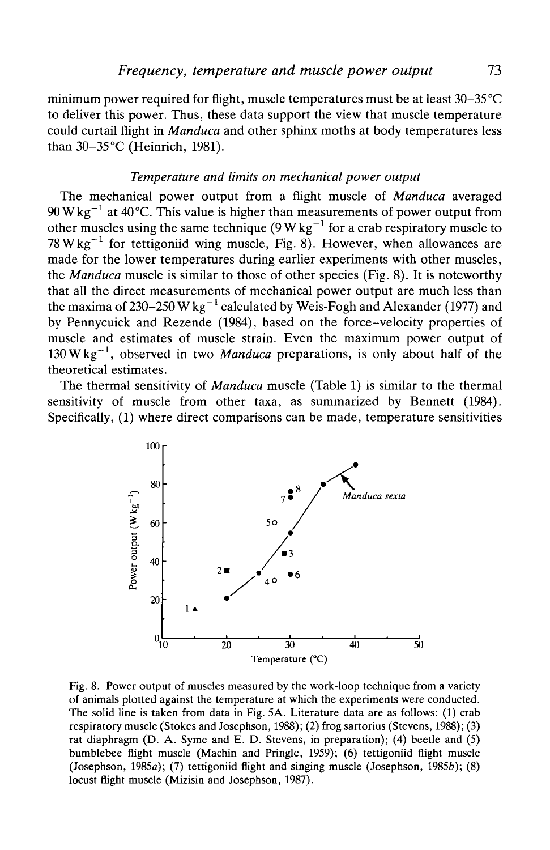minimum power required for flight, muscle temperatures must be at least 30-35°C to deliver this power. Thus, these data support the view that muscle temperature could curtail flight in *Manduca* and other sphinx moths at body temperatures less than 30-35 °C (Heinrich, 1981).

### *Temperature and limits on mechanical power output*

The mechanical power output from a flight muscle of *Manduca* averaged  $90 \,\mathrm{W\,kg^{-1}}$  at 40°C. This value is higher than measurements of power output from other muscles using the same technique (9 W kg $^{-1}$  for a crab respiratory muscle to 78 W kg<sup> $-1$ </sup> for tettigoniid wing muscle, Fig. 8). However, when allowances are made for the lower temperatures during earlier experiments with other muscles, the *Manduca* muscle is similar to those of other species (Fig. 8). It is noteworthy that all the direct measurements of mechanical power output are much less than the maxima of 230–250 W kg $^{-1}$  calculated by Weis-Fogh and Alexander (1977) and by Pennycuick and Rezende (1984), based on the force-velocity properties of muscle and estimates of muscle strain. Even the maximum power output of 130 W kg<sup>-1</sup>, observed in two *Manduca* preparations, is only about half of the theoretical estimates.

The thermal sensitivity of *Manduca* muscle (Table 1) is similar to the thermal sensitivity of muscle from other taxa, as summarized by Bennett (1984). Specifically, (1) where direct comparisons can be made, temperature sensitivities



Fig. 8. Power output of muscles measured by the work-loop technique from a variety of animals plotted against the temperature at which the experiments were conducted. The solid line is taken from data in Fig. 5A. Literature data are as follows: (1) crab respiratory muscle (Stokes and Josephson, 1988); (2) frog sartorius (Stevens, 1988); (3) rat diaphragm (D. A. Syme and E. D. Stevens, in preparation); (4) beetle and (5) bumblebee flight muscle (Machin and Pringle, 1959); (6) tettigoniid flight muscle (Josephson, 1985 $a$ ); (7) tettigoniid flight and singing muscle (Josephson, 1985 $b$ ); (8) locust flight muscle (Mizisin and Josephson, 1987).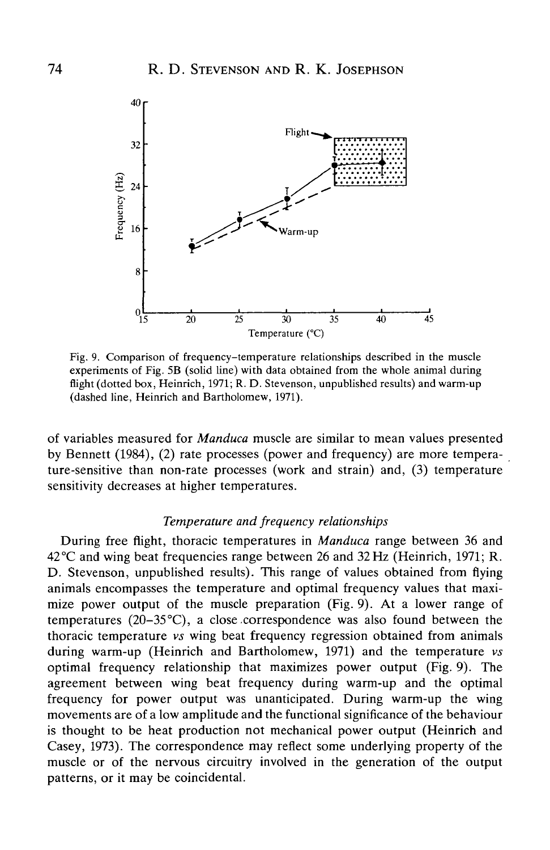

Fig. 9. Comparison of frequency-temperature relationships described in the muscle experiments of Fig. 5B (solid line) with data obtained from the whole animal during flight (dotted box, Heinrich, 1971; R. D. Stevenson, unpublished results) and warm-up (dashed line, Heinrich and Bartholomew, 1971).

of variables measured for *Manduca* muscle are similar to mean values presented by Bennett (1984), (2) rate processes (power and frequency) are more temperature-sensitive than non-rate processes (work and strain) and, (3) temperature sensitivity decreases at higher temperatures.

# *Temperature and frequency relationships*

During free flight, thoracic temperatures in *Manduca* range between 36 and 42°C and wing beat frequencies range between 26 and 32Hz (Heinrich, 1971; R. D. Stevenson, unpublished results). This range of values obtained from flying animals encompasses the temperature and optimal frequency values that maximize power output of the muscle preparation (Fig. 9). At a lower range of temperatures ( $20-35^{\circ}$ C), a close correspondence was also found between the thoracic temperature *vs* wing beat frequency regression obtained from animals during warm-up (Heinrich and Bartholomew, 1971) and the temperature *vs* optimal frequency relationship that maximizes power output (Fig. 9). The agreement between wing beat frequency during warm-up and the optimal frequency for power output was unanticipated. During warm-up the wing movements are of a low amplitude and the functional significance of the behaviour is thought to be heat production not mechanical power output (Heinrich and Casey, 1973). The correspondence may reflect some underlying property of the muscle or of the nervous circuitry involved in the generation of the output patterns, or it may be coincidental.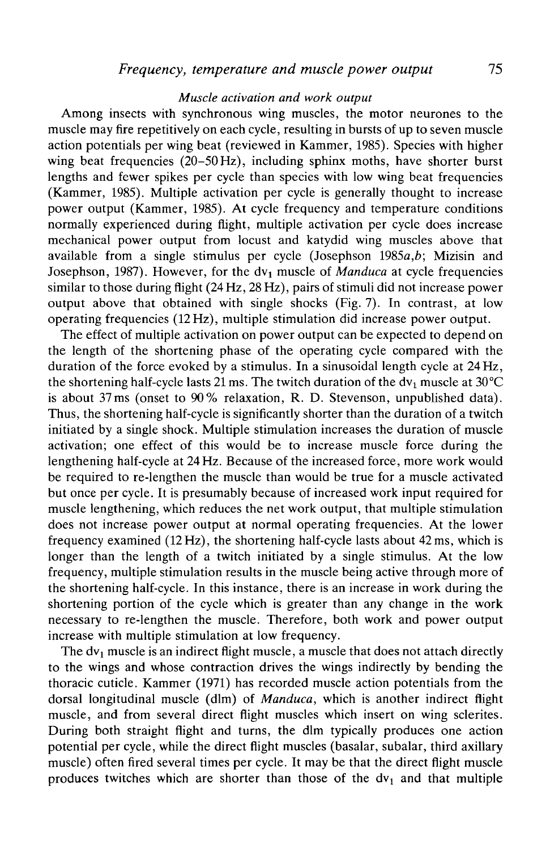### *Muscle activation and work output*

Among insects with synchronous wing muscles, the motor neurones to the muscle may fire repetitively on each cycle, resulting in bursts of up to seven muscle action potentials per wing beat (reviewed in Kammer, 1985). Species with higher wing beat frequencies (20–50 Hz), including sphinx moths, have shorter burst lengths and fewer spikes per cycle than species with low wing beat frequencies (Kammer, 1985). Multiple activation per cycle is generally thought to increase power output (Kammer, 1985). At cycle frequency and temperature conditions normally experienced during flight, multiple activation per cycle does increase mechanical power output from locust and katydid wing muscles above that available from a single stimulus per cycle (Josephson 1985a,*b;* Mizisin and Josephson, 1987). However, for the *d\\* muscle of *Manduca* at cycle frequencies similar to those during flight (24Hz, 28 Hz), pairs of stimuli did not increase power output above that obtained with single shocks (Fig. 7). In contrast, at low operating frequencies (12Hz), multiple stimulation did increase power output.

The effect of multiple activation on power output can be expected to depend on the length of the shortening phase of the operating cycle compared with the duration of the force evoked by a stimulus. In a sinusoidal length cycle at 24 Hz, the shortening half-cycle lasts 21 ms. The twitch duration of the  $dv_1$  muscle at 30°C is about 37ms (onset to 90% relaxation, R. D. Stevenson, unpublished data). Thus, the shortening half-cycle is significantly shorter than the duration of a twitch initiated by a single shock. Multiple stimulation increases the duration of muscle activation; one effect of this would be to increase muscle force during the lengthening half-cycle at 24 Hz. Because of the increased force, more work would be required to re-lengthen the muscle than would be true for a muscle activated but once per cycle. It is presumably because of increased work input required for muscle lengthening, which reduces the net work output, that multiple stimulation does not increase power output at normal operating frequencies. At the lower frequency examined (12Hz), the shortening half-cycle lasts about 42ms, which is longer than the length of a twitch initiated by a single stimulus. At the low frequency, multiple stimulation results in the muscle being active through more of the shortening half-cycle. In this instance, there is an increase in work during the shortening portion of the cycle which is greater than any change in the work necessary to re-lengthen the muscle. Therefore, both work and power output increase with multiple stimulation at low frequency.

The  $dv_1$  muscle is an indirect flight muscle, a muscle that does not attach directly to the wings and whose contraction drives the wings indirectly by bending the thoracic cuticle. Kammer (1971) has recorded muscle action potentials from the dorsal longitudinal muscle (dim) of *Manduca,* which is another indirect flight muscle, and from several direct flight muscles which insert on wing sclerites. During both straight flight and turns, the dim typically produces one action potential per cycle, while the direct flight muscles (basalar, subalar, third axillary muscle) often fired several times per cycle. It may be that the direct flight muscle produces twitches which are shorter than those of the  $dv_1$  and that multiple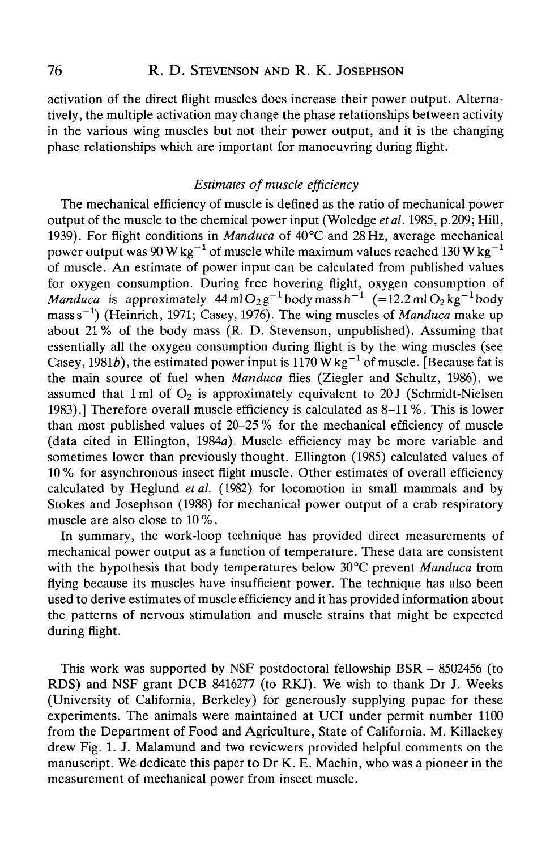activation of the direct flight muscles does increase their power output. Alternatively, the multiple activation may change the phase relationships between activity in the various wing muscles but not their power output, and it is the changing phase relationships which are important for manoeuvring during flight.

# *Estimates of muscle efficiency*

The mechanical efficiency of muscle is defined as the ratio of mechanical power output of the muscle to the chemical power input (Woledge *etal.* 1985, p.209; Hill, 1939). For flight conditions in *Manduca* of 40°C and 28 Hz, average mechanical power output was 90 W kg<sup>-1</sup> of muscle while maximum values reached 130 W kg<sup>-1</sup> of muscle. An estimate of power input can be calculated from published values for oxygen consumption. During free hovering flight, oxygen consumption of *Manduca* is approximately  $44 \text{ ml } O_2 g^{-1}$  body mass h<sup>-1</sup> (=12.2 ml  $O_2 kg^{-1}$  body mass s<sup>-1</sup>) (Heinrich, 1971; Casey, 1976). The wing muscles of *Manduca* make up about 21% of the body mass (R. D. Stevenson, unpublished). Assuming that essentially all the oxygen consumption during flight is by the wing muscles (see Casey, 1981b), the estimated power input is 1170 W kg<sup>-1</sup> of muscle. [Because fat is the main source of fuel when *Manduca* flies (Ziegler and Schultz, 1986), we assumed that 1 ml of  $O<sub>2</sub>$  is approximately equivalent to 20 J (Schmidt-Nielsen 1983).] Therefore overall muscle efficiency is calculated as 8-11 %. This is lower than most published values of 20-25 % for the mechanical efficiency of muscle (data cited in Ellington, 1984a). Muscle efficiency may be more variable and sometimes lower than previously thought. Ellington (1985) calculated values of 10% for asynchronous insect flight muscle. Other estimates of overall efficiency calculated by Heglund *et al.* (1982) for locomotion in small mammals and by Stokes and Josephson (1988) for mechanical power output of a crab respiratory muscle are also close to 10 %.

In summary, the work-loop technique has provided direct measurements of mechanical power output as a function of temperature. These data are consistent with the hypothesis that body temperatures below 30 °C prevent *Manduca* from flying because its muscles have insufficient power. The technique has also been used to derive estimates of muscle efficiency and it has provided information about the patterns of nervous stimulation and muscle strains that might be expected during flight.

This work was supported by NSF postdoctoral fellowship BSR - 8502456 (to RDS) and NSF grant DCB 8416277 (to RKJ). We wish to thank Dr J. Weeks (University of California, Berkeley) for generously supplying pupae for these experiments. The animals were maintained at UCI under permit number 1100 from the Department of Food and Agriculture, State of California. M. Killackey drew Fig. 1. J. Malamund and two reviewers provided helpful comments on the manuscript. We dedicate this paper to Dr K. E. Machin, who was a pioneer in the measurement of mechanical power from insect muscle.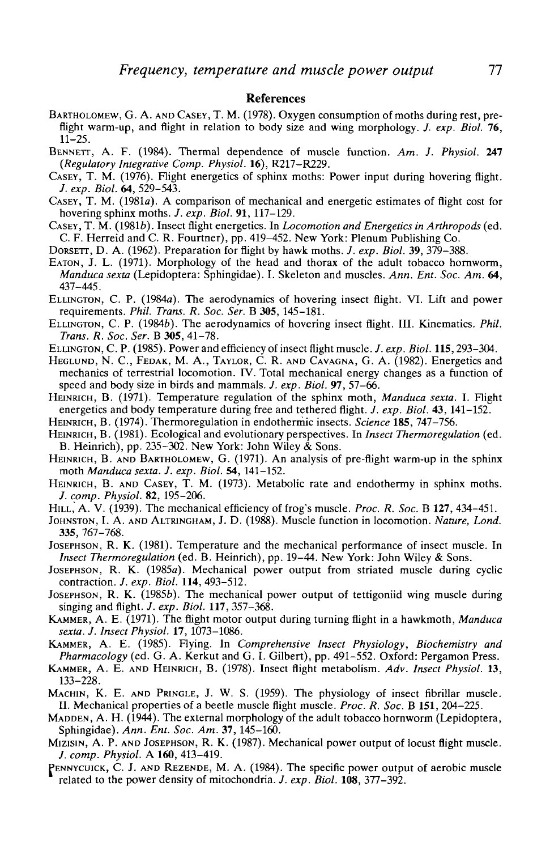#### **References**

- BARTHOLOMEW, G. A. AND CASEY, T. M. (1978). Oxygen consumption of moths during rest, pre-<br>flight warm-up, and flight in relation to body size and wing morphology. *J. exp. Biol.* **76**,<br>11–25.
- BENNETT, A. F. (1984). Thermal dependence of muscle function. Am. J. Physiol. 247 (Regulatory Integrative Comp. Physiol. 16), R217–R229.
- *CASEY*, T. M. (1976). Flight energetics of sphinx moths: Power input during hovering flight.<br>*J. exp. Biol.* 64, 529–543.
- *J. exp. Biol.* **64,** 529-543. CASEY, T. M. (1981a). A comparison of mechanical and energetic estimates of flight cost for
- hovering sphinx moths. *J. exp. Biol.* 91, 117–129.<br>CASEY, T. M. (1981*b*). Insect flight energetics. In *Locomotion and Energetics in Arthropods* (ed. C. F. Herreid and C. R. Fourtner), pp. 419–452. New York: Plenum Publi
- DORSETT, D. A. (1962). Preparation for flight by hawk moths. *J. exp. Biol.* 39, 379–388.<br>EATON, J. L. (1971). Morphology of the head and thorax of the adult tobacco hornworm,
- *Manduca sexta* (Lepidoptera: Sphingidae). I. Skeleton and muscles. *Ann. Ent. Soc. Am.* **64,** 437-445.
- ELLINGTON, C. P. (1984a). The aerodynamics of hovering insect flight. VI. Lift and power requirements. *Phil. Trans. R. Soc. Ser.* B **305,** 145-181.
- ELLINGTON, C. P. (19846). The aerodynamics of hovering insect flight. III. Kinematics. *Phil. Trans. R. Soc. Ser.* B **305,** 41-78.
- ELLINGTON, C. P. (1985). Power and efficiency of insect flight muscle./, *exp. Biol.* 115,293-304.
- HEGLUND, N. C, FEDAK, M. A., TAYLOR, C. R. AND CAVAGNA, G. A. (1982). Energetics and mechanics of terrestrial locomotion. IV. Total mechanical energy changes as a function of speed and body size in birds and mammals. /. *exp. Biol.* 97, 57-66.
- HEINRICH, B. (1971). Temperature regulation of the sphinx moth, *Manduca sexta.* I. Flight energetics and body temperature during free and tethered flight. /. *exp. Biol.* **43,** 141-152.
- HEINRICH, B. (1974). Thermoregulation in endothermic insects. *Science* **185,** 747-756.
- HEINRICH, B. (1981). Ecological and evolutionary perspectives. In *Insect Thermoregulation* (ed. B. Heinrich), pp. 235-302. New York: John Wiley & Sons.
- HEINRICH, B. AND BARTHOLOMEW, G. (1971). An analysis of pre-flight warm-up in the sphinx moth *Manduca sexta. J. exp. Biol.* **54,** 141-152.
- HEINRICH, B. AND CASEY, T. M. (1973). Metabolic rate and endothermy in sphinx moths. /. *comp. Physiol.* **82,** 195-206.
- HILL," A. V. (1939). The mechanical efficiency of frog's muscle. *Proc. R. Soc.* B **127,** 434-451.
- JOHNSTON, I. A. AND ALTRINGHAM, J. D. (1988). Muscle function in locomotion. *Nature, Lond.* **335,** 767-768.
- JOSEPHSON, R. K. (1981). Temperature and the mechanical performance of insect muscle. In *Insect Thermoregulation* (ed. B. Heinrich), pp. 19-44. New York: John Wiley & Sons.
- JOSEPHSON, R. K. (1985a). Mechanical power output from striated muscle during cyclic contraction. *J. exp. Biol.* **114,** 493-512.
- JOSEPHSON, R. K. (19856). The mechanical power output of tettigoniid wing muscle during singing and flight. *J. exp. Biol.* **117,** 357-368.
- KAMMER, A. E. (1971). The flight motor output during turning flight in a hawkmoth, *Manduca sexta. J. Insect Physiol.* 17, 1073-1086.
- KAMMER, A. E. (1985). Flying. In *Comprehensive Insect Physiology, Biochemistry and Pharmacology* (ed. G. A. Kerkut and G. I. Gilbert), pp. 491-552. Oxford: Pergamon Press.
- KAMMER, A. E. AND HEINRICH, B. (1978). Insect flight metabolism. *Adv. Insect Physiol.* 13, 133-228.
- MACHIN, K. E. AND PRINGLE, J. W. S. (1959). The physiology of insect fibrillar muscle. II. Mechanical properties of a beetle muscle flight muscle. *Proc. R. Soc.* B **151,** 204-225.
- MADDEN, A. H. (1944). The external morphology of the adult tobacco hornworm (Lepidoptera, Sphingidae). *Ann. Ent. Soc. Am.* **37,** 145-160.
- MIZISIN, A. P. AND JOSEPHSON, R. K. (1987). Mechanical power output of locust flight muscle. /. *comp. Physiol.* A **160,** 413-419.
- PENNYCUICK, C. J. AND REZENDE, M. A. (1984). The specific power output of aerobic muscle related to the power density of mitochondria. *J. exp. Biol.* **108,** 377-392.